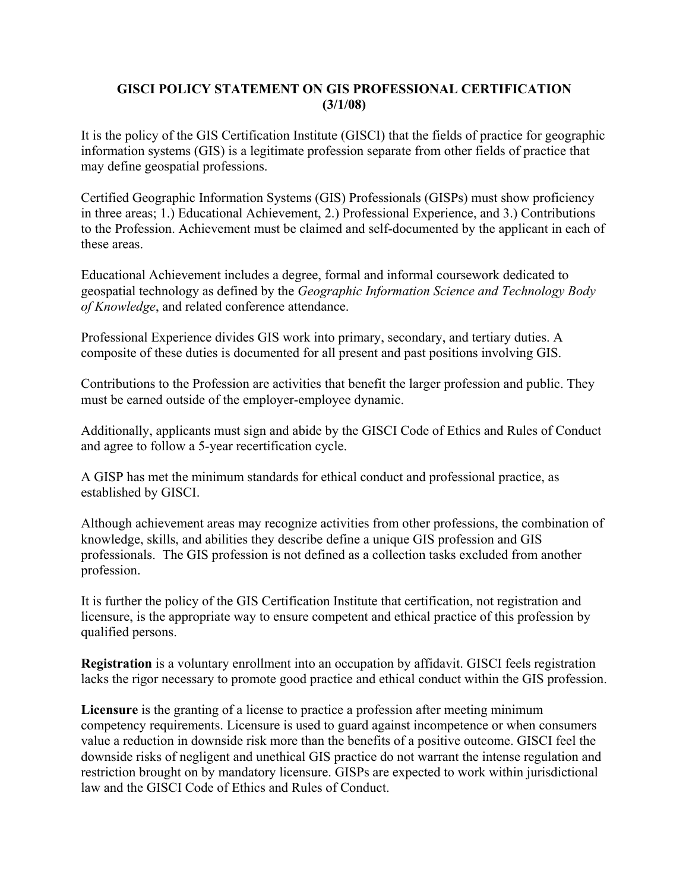## **GISCI POLICY STATEMENT ON GIS PROFESSIONAL CERTIFICATION (3/1/08)**

It is the policy of the GIS Certification Institute (GISCI) that the fields of practice for geographic information systems (GIS) is a legitimate profession separate from other fields of practice that may define geospatial professions.

Certified Geographic Information Systems (GIS) Professionals (GISPs) must show proficiency in three areas; 1.) Educational Achievement, 2.) Professional Experience, and 3.) Contributions to the Profession. Achievement must be claimed and self-documented by the applicant in each of these areas.

Educational Achievement includes a degree, formal and informal coursework dedicated to geospatial technology as defined by the *Geographic Information Science and Technology Body of Knowledge*, and related conference attendance.

Professional Experience divides GIS work into primary, secondary, and tertiary duties. A composite of these duties is documented for all present and past positions involving GIS.

Contributions to the Profession are activities that benefit the larger profession and public. They must be earned outside of the employer-employee dynamic.

Additionally, applicants must sign and abide by the GISCI Code of Ethics and Rules of Conduct and agree to follow a 5-year recertification cycle.

A GISP has met the minimum standards for ethical conduct and professional practice, as established by GISCI.

Although achievement areas may recognize activities from other professions, the combination of knowledge, skills, and abilities they describe define a unique GIS profession and GIS professionals. The GIS profession is not defined as a collection tasks excluded from another profession.

It is further the policy of the GIS Certification Institute that certification, not registration and licensure, is the appropriate way to ensure competent and ethical practice of this profession by qualified persons.

**Registration** is a voluntary enrollment into an occupation by affidavit. GISCI feels registration lacks the rigor necessary to promote good practice and ethical conduct within the GIS profession.

**Licensure** is the granting of a license to practice a profession after meeting minimum competency requirements. Licensure is used to guard against incompetence or when consumers value a reduction in downside risk more than the benefits of a positive outcome. GISCI feel the downside risks of negligent and unethical GIS practice do not warrant the intense regulation and restriction brought on by mandatory licensure. GISPs are expected to work within jurisdictional law and the GISCI Code of Ethics and Rules of Conduct.